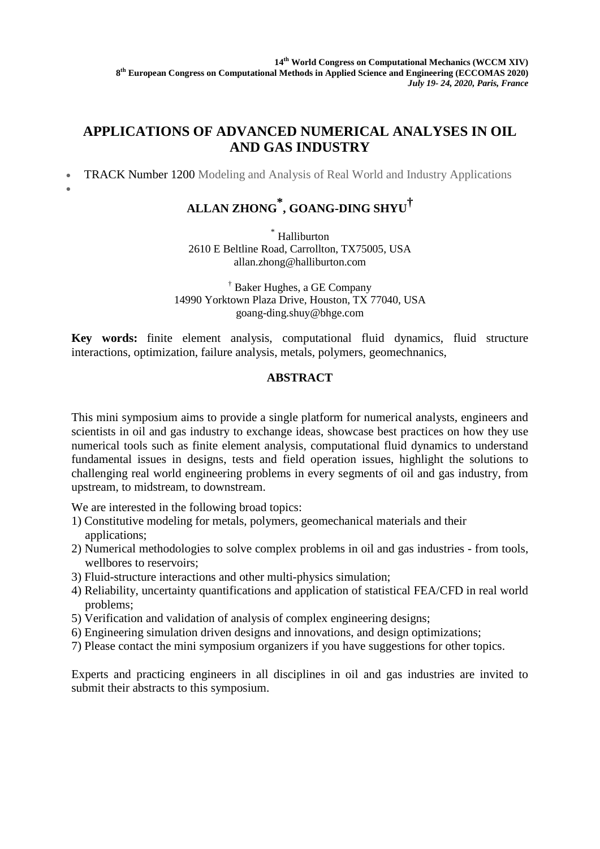## **APPLICATIONS OF ADVANCED NUMERICAL ANALYSES IN OIL AND GAS INDUSTRY**

• TRACK Number 1200 Modeling and Analysis of Real World and Industry Applications

## **ALLAN ZHONG \*, GOANG-DING SHYU†**

\* Halliburton 2610 E Beltline Road, Carrollton, TX75005, USA allan.zhong@halliburton.com

† Baker Hughes, a GE Company 14990 Yorktown Plaza Drive, Houston, TX 77040, USA goang-ding.shuy@bhge.com

**Key words:** finite element analysis, computational fluid dynamics, fluid structure interactions, optimization, failure analysis, metals, polymers, geomechnanics,

## **ABSTRACT**

This mini symposium aims to provide a single platform for numerical analysts, engineers and scientists in oil and gas industry to exchange ideas, showcase best practices on how they use numerical tools such as finite element analysis, computational fluid dynamics to understand fundamental issues in designs, tests and field operation issues, highlight the solutions to challenging real world engineering problems in every segments of oil and gas industry, from upstream, to midstream, to downstream.

We are interested in the following broad topics:

•

- 1) Constitutive modeling for metals, polymers, geomechanical materials and their applications;
- 2) Numerical methodologies to solve complex problems in oil and gas industries from tools, wellbores to reservoirs;
- 3) Fluid-structure interactions and other multi-physics simulation;
- 4) Reliability, uncertainty quantifications and application of statistical FEA/CFD in real world problems;
- 5) Verification and validation of analysis of complex engineering designs;
- 6) Engineering simulation driven designs and innovations, and design optimizations;
- 7) Please contact the mini symposium organizers if you have suggestions for other topics.

Experts and practicing engineers in all disciplines in oil and gas industries are invited to submit their abstracts to this symposium.